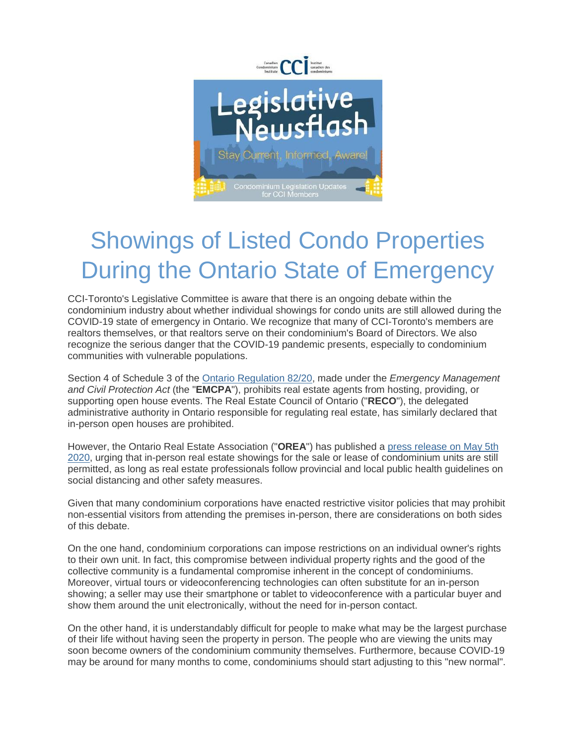

## Showings of Listed Condo Properties During the Ontario State of Emergency

CCI-Toronto's Legislative Committee is aware that there is an ongoing debate within the condominium industry about whether individual showings for condo units are still allowed during the COVID-19 state of emergency in Ontario. We recognize that many of CCI-Toronto's members are realtors themselves, or that realtors serve on their condominium's Board of Directors. We also recognize the serious danger that the COVID-19 pandemic presents, especially to condominium communities with vulnerable populations.

Section 4 of Schedule 3 of the [Ontario Regulation 82/20,](https://ccitoronto.us7.list-manage.com/track/click?u=0b3d2f73888a0f49a8c4b259a&id=926b6c7454&e=398787ec34) made under the *Emergency Management and Civil Protection Act* (the "**EMCPA**"), prohibits real estate agents from hosting, providing, or supporting open house events. The Real Estate Council of Ontario ("**RECO**"), the delegated administrative authority in Ontario responsible for regulating real estate, has similarly declared that in-person open houses are prohibited.

However, the Ontario Real Estate Association ("**OREA**") has published a [press release on May 5th](https://ccitoronto.us7.list-manage.com/track/click?u=0b3d2f73888a0f49a8c4b259a&id=ea9dca42ed&e=398787ec34)  [2020,](https://ccitoronto.us7.list-manage.com/track/click?u=0b3d2f73888a0f49a8c4b259a&id=ea9dca42ed&e=398787ec34) urging that in-person real estate showings for the sale or lease of condominium units are still permitted, as long as real estate professionals follow provincial and local public health guidelines on social distancing and other safety measures.

Given that many condominium corporations have enacted restrictive visitor policies that may prohibit non-essential visitors from attending the premises in-person, there are considerations on both sides of this debate.

On the one hand, condominium corporations can impose restrictions on an individual owner's rights to their own unit. In fact, this compromise between individual property rights and the good of the collective community is a fundamental compromise inherent in the concept of condominiums. Moreover, virtual tours or videoconferencing technologies can often substitute for an in-person showing; a seller may use their smartphone or tablet to videoconference with a particular buyer and show them around the unit electronically, without the need for in-person contact.

On the other hand, it is understandably difficult for people to make what may be the largest purchase of their life without having seen the property in person. The people who are viewing the units may soon become owners of the condominium community themselves. Furthermore, because COVID-19 may be around for many months to come, condominiums should start adjusting to this "new normal".